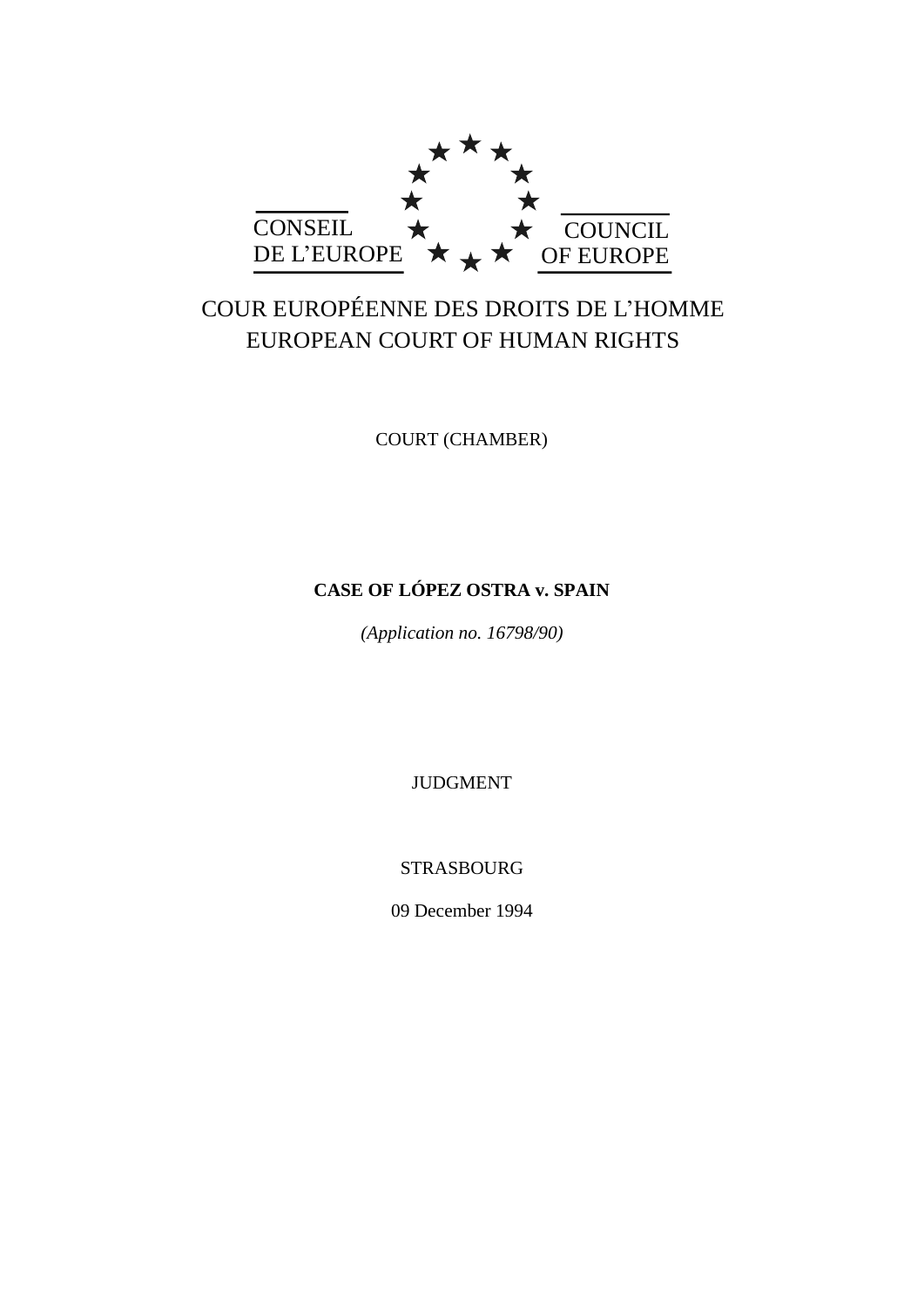

# COUR EUROPÉENNE DES DROITS DE L'HOMME EUROPEAN COURT OF HUMAN RIGHTS

COURT (CHAMBER)

## **CASE OF LÓPEZ OSTRA v. SPAIN**

*(Application no. 16798/90)*

JUDGMENT

STRASBOURG

09 December 1994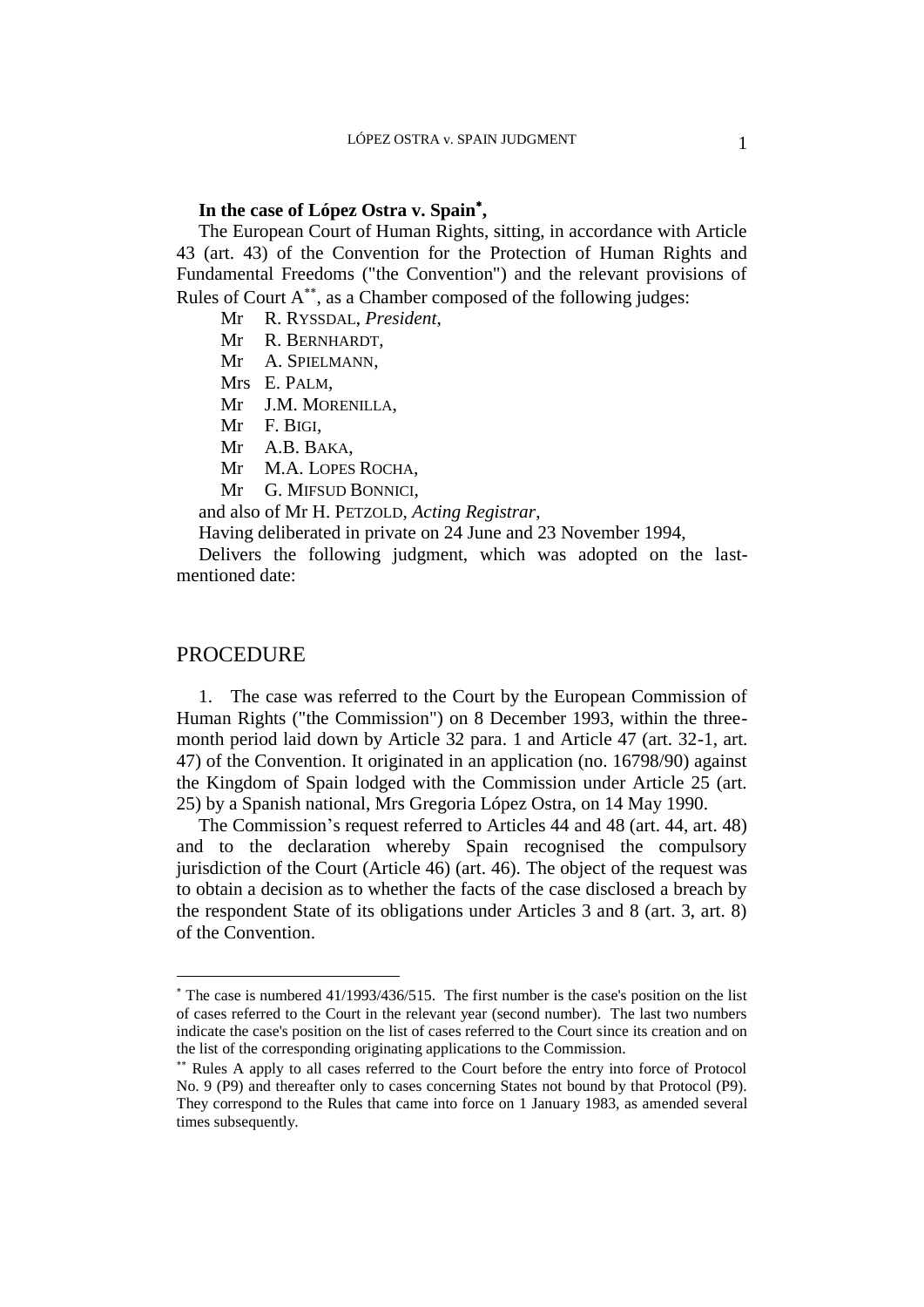### **In the case of López Ostra v. Spain ,**

The European Court of Human Rights, sitting, in accordance with Article 43 (art. 43) of the Convention for the Protection of Human Rights and Fundamental Freedoms ("the Convention") and the relevant provisions of Rules of Court A<sup>\*\*</sup>, as a Chamber composed of the following judges:

Mr R. RYSSDAL, *President*,

Mr R. BERNHARDT,

Mr A. SPIELMANN,

Mrs E. PALM,

Mr J.M. MORENILLA,

Mr F. BIGI,

Mr A.B. BAKA,

Mr M.A. LOPES ROCHA,

Mr G. MIFSUD BONNICI,

and also of Mr H. PETZOLD, *Acting Registrar*,

Having deliberated in private on 24 June and 23 November 1994,

Delivers the following judgment, which was adopted on the lastmentioned date:

### PROCEDURE

 $\overline{a}$ 

1. The case was referred to the Court by the European Commission of Human Rights ("the Commission") on 8 December 1993, within the threemonth period laid down by Article 32 para. 1 and Article 47 (art. 32-1, art. 47) of the Convention. It originated in an application (no. 16798/90) against the Kingdom of Spain lodged with the Commission under Article 25 (art. 25) by a Spanish national, Mrs Gregoria López Ostra, on 14 May 1990.

The Commission's request referred to Articles 44 and 48 (art. 44, art. 48) and to the declaration whereby Spain recognised the compulsory jurisdiction of the Court (Article 46) (art. 46). The object of the request was to obtain a decision as to whether the facts of the case disclosed a breach by the respondent State of its obligations under Articles 3 and 8 (art. 3, art. 8) of the Convention.

The case is numbered 41/1993/436/515. The first number is the case's position on the list of cases referred to the Court in the relevant year (second number). The last two numbers indicate the case's position on the list of cases referred to the Court since its creation and on the list of the corresponding originating applications to the Commission.

Rules A apply to all cases referred to the Court before the entry into force of Protocol No. 9 (P9) and thereafter only to cases concerning States not bound by that Protocol (P9). They correspond to the Rules that came into force on 1 January 1983, as amended several times subsequently.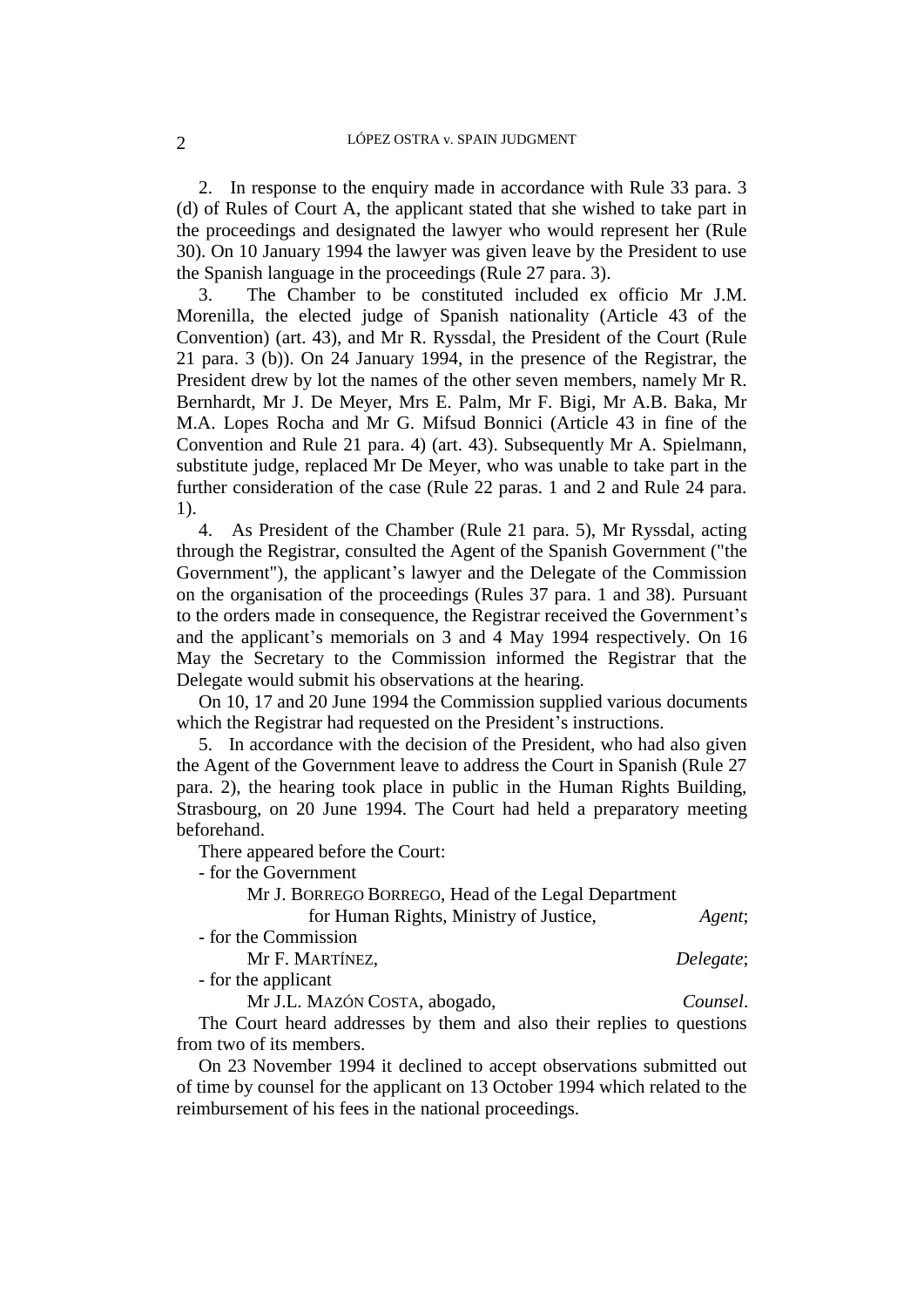2. In response to the enquiry made in accordance with Rule 33 para. 3 (d) of Rules of Court A, the applicant stated that she wished to take part in the proceedings and designated the lawyer who would represent her (Rule 30). On 10 January 1994 the lawyer was given leave by the President to use the Spanish language in the proceedings (Rule 27 para. 3).

3. The Chamber to be constituted included ex officio Mr J.M. Morenilla, the elected judge of Spanish nationality (Article 43 of the Convention) (art. 43), and Mr R. Ryssdal, the President of the Court (Rule 21 para. 3 (b)). On 24 January 1994, in the presence of the Registrar, the President drew by lot the names of the other seven members, namely Mr R. Bernhardt, Mr J. De Meyer, Mrs E. Palm, Mr F. Bigi, Mr A.B. Baka, Mr M.A. Lopes Rocha and Mr G. Mifsud Bonnici (Article 43 in fine of the Convention and Rule 21 para. 4) (art. 43). Subsequently Mr A. Spielmann, substitute judge, replaced Mr De Meyer, who was unable to take part in the further consideration of the case (Rule 22 paras. 1 and 2 and Rule 24 para. 1).

4. As President of the Chamber (Rule 21 para. 5), Mr Ryssdal, acting through the Registrar, consulted the Agent of the Spanish Government ("the Government"), the applicant's lawyer and the Delegate of the Commission on the organisation of the proceedings (Rules 37 para. 1 and 38). Pursuant to the orders made in consequence, the Registrar received the Government's and the applicant's memorials on 3 and 4 May 1994 respectively. On 16 May the Secretary to the Commission informed the Registrar that the Delegate would submit his observations at the hearing.

On 10, 17 and 20 June 1994 the Commission supplied various documents which the Registrar had requested on the President's instructions.

5. In accordance with the decision of the President, who had also given the Agent of the Government leave to address the Court in Spanish (Rule 27 para. 2), the hearing took place in public in the Human Rights Building, Strasbourg, on 20 June 1994. The Court had held a preparatory meeting beforehand.

There appeared before the Court:

- for the Government

Mr J. BORREGO BORREGO, Head of the Legal Department

for Human Rights, Ministry of Justice, *Agent*;

- for the Commission

Mr F. MARTÍNEZ, *Delegate*;

- for the applicant

Mr J.L. MAZÓN COSTA, abogado, *Counsel*.

The Court heard addresses by them and also their replies to questions from two of its members.

On 23 November 1994 it declined to accept observations submitted out of time by counsel for the applicant on 13 October 1994 which related to the reimbursement of his fees in the national proceedings.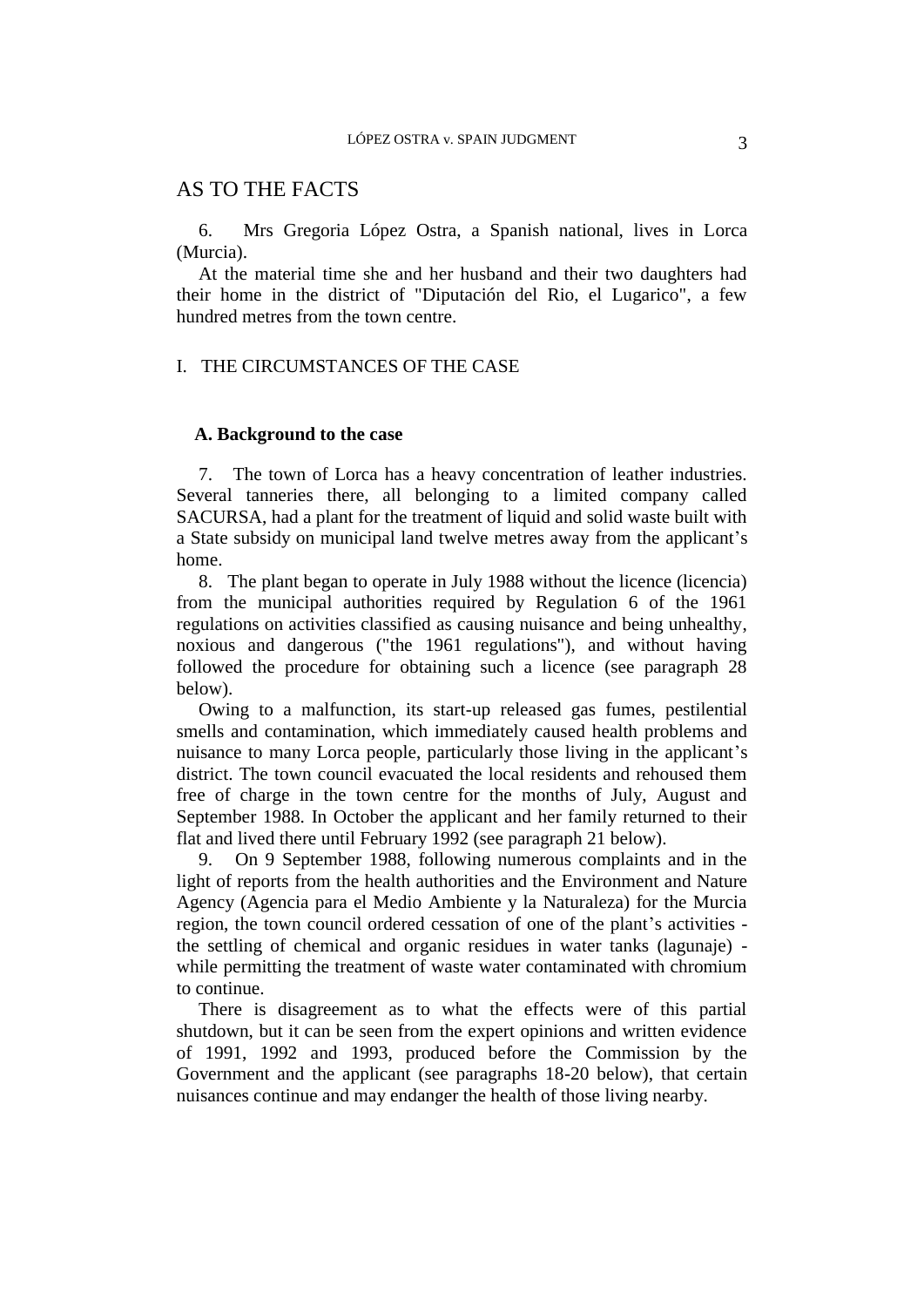### AS TO THE FACTS

6. Mrs Gregoria López Ostra, a Spanish national, lives in Lorca (Murcia).

At the material time she and her husband and their two daughters had their home in the district of "Diputación del Rio, el Lugarico", a few hundred metres from the town centre.

### I. THE CIRCUMSTANCES OF THE CASE

### **A. Background to the case**

7. The town of Lorca has a heavy concentration of leather industries. Several tanneries there, all belonging to a limited company called SACURSA, had a plant for the treatment of liquid and solid waste built with a State subsidy on municipal land twelve metres away from the applicant's home.

8. The plant began to operate in July 1988 without the licence (licencia) from the municipal authorities required by Regulation 6 of the 1961 regulations on activities classified as causing nuisance and being unhealthy, noxious and dangerous ("the 1961 regulations"), and without having followed the procedure for obtaining such a licence (see paragraph 28 below).

Owing to a malfunction, its start-up released gas fumes, pestilential smells and contamination, which immediately caused health problems and nuisance to many Lorca people, particularly those living in the applicant's district. The town council evacuated the local residents and rehoused them free of charge in the town centre for the months of July, August and September 1988. In October the applicant and her family returned to their flat and lived there until February 1992 (see paragraph 21 below).

9. On 9 September 1988, following numerous complaints and in the light of reports from the health authorities and the Environment and Nature Agency (Agencia para el Medio Ambiente y la Naturaleza) for the Murcia region, the town council ordered cessation of one of the plant's activities the settling of chemical and organic residues in water tanks (lagunaje) while permitting the treatment of waste water contaminated with chromium to continue.

There is disagreement as to what the effects were of this partial shutdown, but it can be seen from the expert opinions and written evidence of 1991, 1992 and 1993, produced before the Commission by the Government and the applicant (see paragraphs 18-20 below), that certain nuisances continue and may endanger the health of those living nearby.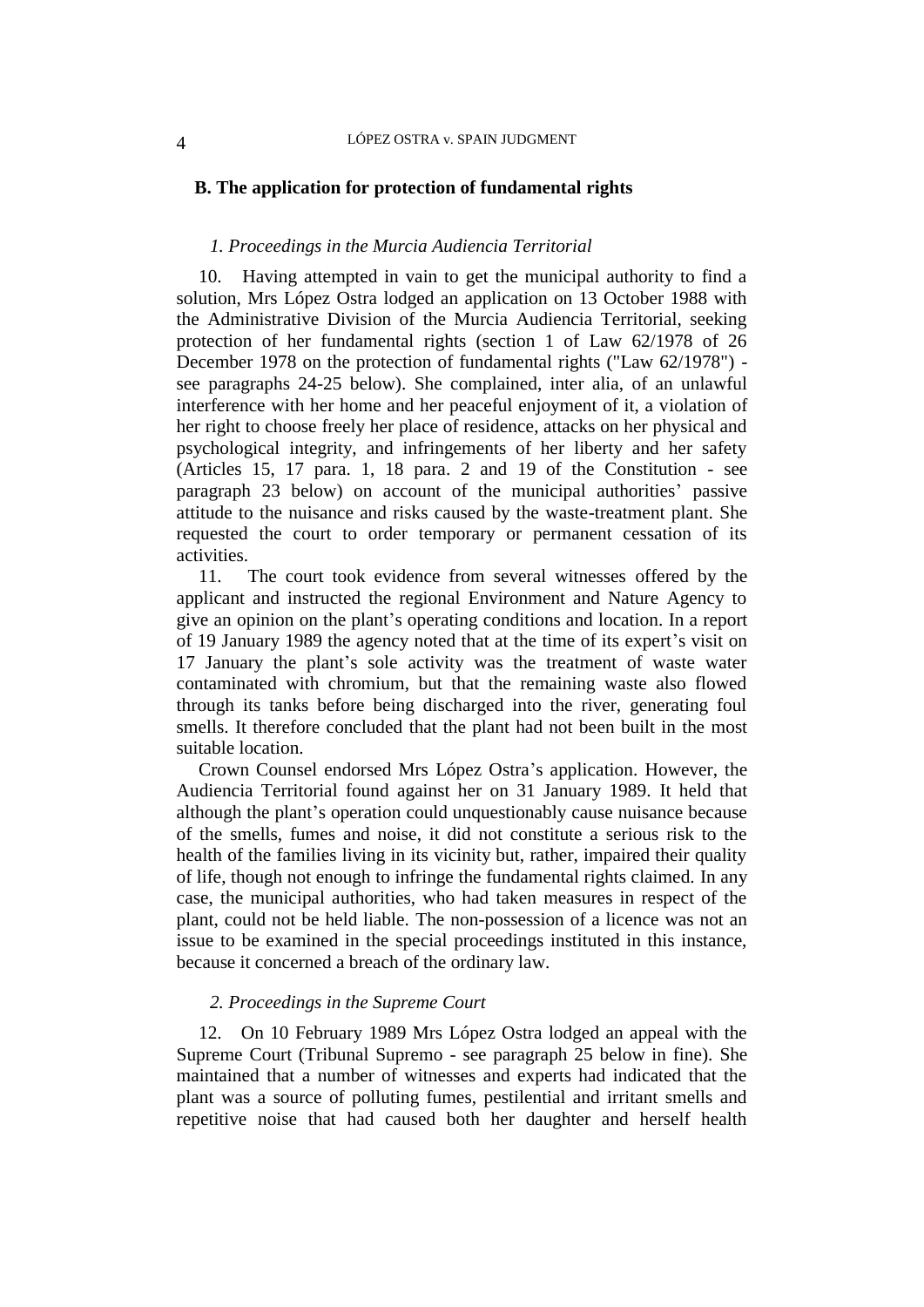### **B. The application for protection of fundamental rights**

### *1. Proceedings in the Murcia Audiencia Territorial*

10. Having attempted in vain to get the municipal authority to find a solution, Mrs López Ostra lodged an application on 13 October 1988 with the Administrative Division of the Murcia Audiencia Territorial, seeking protection of her fundamental rights (section 1 of Law 62/1978 of 26 December 1978 on the protection of fundamental rights ("Law 62/1978") see paragraphs 24-25 below). She complained, inter alia, of an unlawful interference with her home and her peaceful enjoyment of it, a violation of her right to choose freely her place of residence, attacks on her physical and psychological integrity, and infringements of her liberty and her safety (Articles 15, 17 para. 1, 18 para. 2 and 19 of the Constitution - see paragraph 23 below) on account of the municipal authorities' passive attitude to the nuisance and risks caused by the waste-treatment plant. She requested the court to order temporary or permanent cessation of its activities.

11. The court took evidence from several witnesses offered by the applicant and instructed the regional Environment and Nature Agency to give an opinion on the plant's operating conditions and location. In a report of 19 January 1989 the agency noted that at the time of its expert's visit on 17 January the plant's sole activity was the treatment of waste water contaminated with chromium, but that the remaining waste also flowed through its tanks before being discharged into the river, generating foul smells. It therefore concluded that the plant had not been built in the most suitable location.

Crown Counsel endorsed Mrs López Ostra's application. However, the Audiencia Territorial found against her on 31 January 1989. It held that although the plant's operation could unquestionably cause nuisance because of the smells, fumes and noise, it did not constitute a serious risk to the health of the families living in its vicinity but, rather, impaired their quality of life, though not enough to infringe the fundamental rights claimed. In any case, the municipal authorities, who had taken measures in respect of the plant, could not be held liable. The non-possession of a licence was not an issue to be examined in the special proceedings instituted in this instance, because it concerned a breach of the ordinary law.

### *2. Proceedings in the Supreme Court*

12. On 10 February 1989 Mrs López Ostra lodged an appeal with the Supreme Court (Tribunal Supremo - see paragraph 25 below in fine). She maintained that a number of witnesses and experts had indicated that the plant was a source of polluting fumes, pestilential and irritant smells and repetitive noise that had caused both her daughter and herself health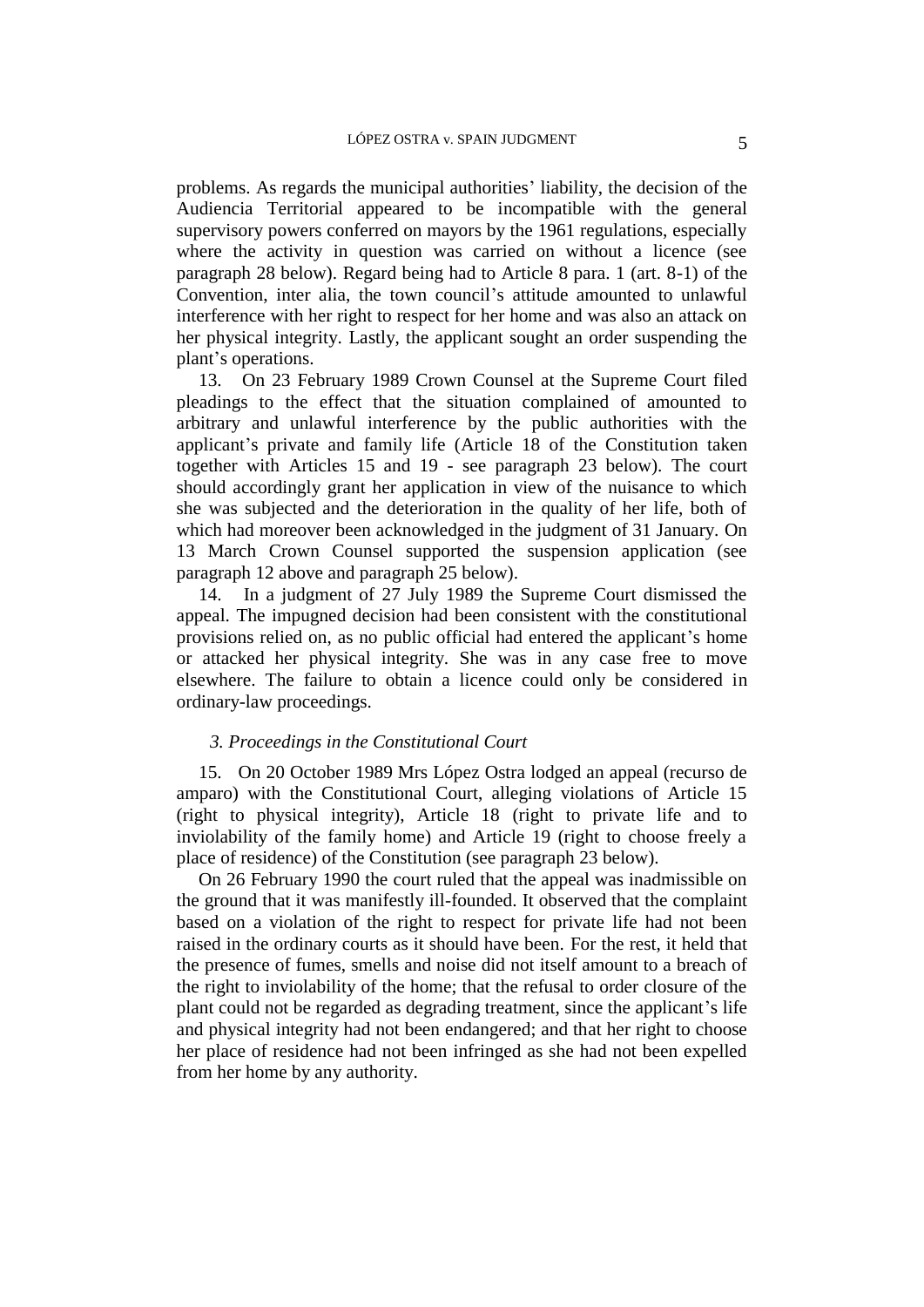problems. As regards the municipal authorities' liability, the decision of the Audiencia Territorial appeared to be incompatible with the general supervisory powers conferred on mayors by the 1961 regulations, especially where the activity in question was carried on without a licence (see paragraph 28 below). Regard being had to Article 8 para. 1 (art. 8-1) of the Convention, inter alia, the town council's attitude amounted to unlawful interference with her right to respect for her home and was also an attack on her physical integrity. Lastly, the applicant sought an order suspending the plant's operations.

13. On 23 February 1989 Crown Counsel at the Supreme Court filed pleadings to the effect that the situation complained of amounted to arbitrary and unlawful interference by the public authorities with the applicant's private and family life (Article 18 of the Constitution taken together with Articles 15 and 19 - see paragraph 23 below). The court should accordingly grant her application in view of the nuisance to which she was subjected and the deterioration in the quality of her life, both of which had moreover been acknowledged in the judgment of 31 January. On 13 March Crown Counsel supported the suspension application (see paragraph 12 above and paragraph 25 below).

14. In a judgment of 27 July 1989 the Supreme Court dismissed the appeal. The impugned decision had been consistent with the constitutional provisions relied on, as no public official had entered the applicant's home or attacked her physical integrity. She was in any case free to move elsewhere. The failure to obtain a licence could only be considered in ordinary-law proceedings.

### *3. Proceedings in the Constitutional Court*

15. On 20 October 1989 Mrs López Ostra lodged an appeal (recurso de amparo) with the Constitutional Court, alleging violations of Article 15 (right to physical integrity), Article 18 (right to private life and to inviolability of the family home) and Article 19 (right to choose freely a place of residence) of the Constitution (see paragraph 23 below).

On 26 February 1990 the court ruled that the appeal was inadmissible on the ground that it was manifestly ill-founded. It observed that the complaint based on a violation of the right to respect for private life had not been raised in the ordinary courts as it should have been. For the rest, it held that the presence of fumes, smells and noise did not itself amount to a breach of the right to inviolability of the home; that the refusal to order closure of the plant could not be regarded as degrading treatment, since the applicant's life and physical integrity had not been endangered; and that her right to choose her place of residence had not been infringed as she had not been expelled from her home by any authority.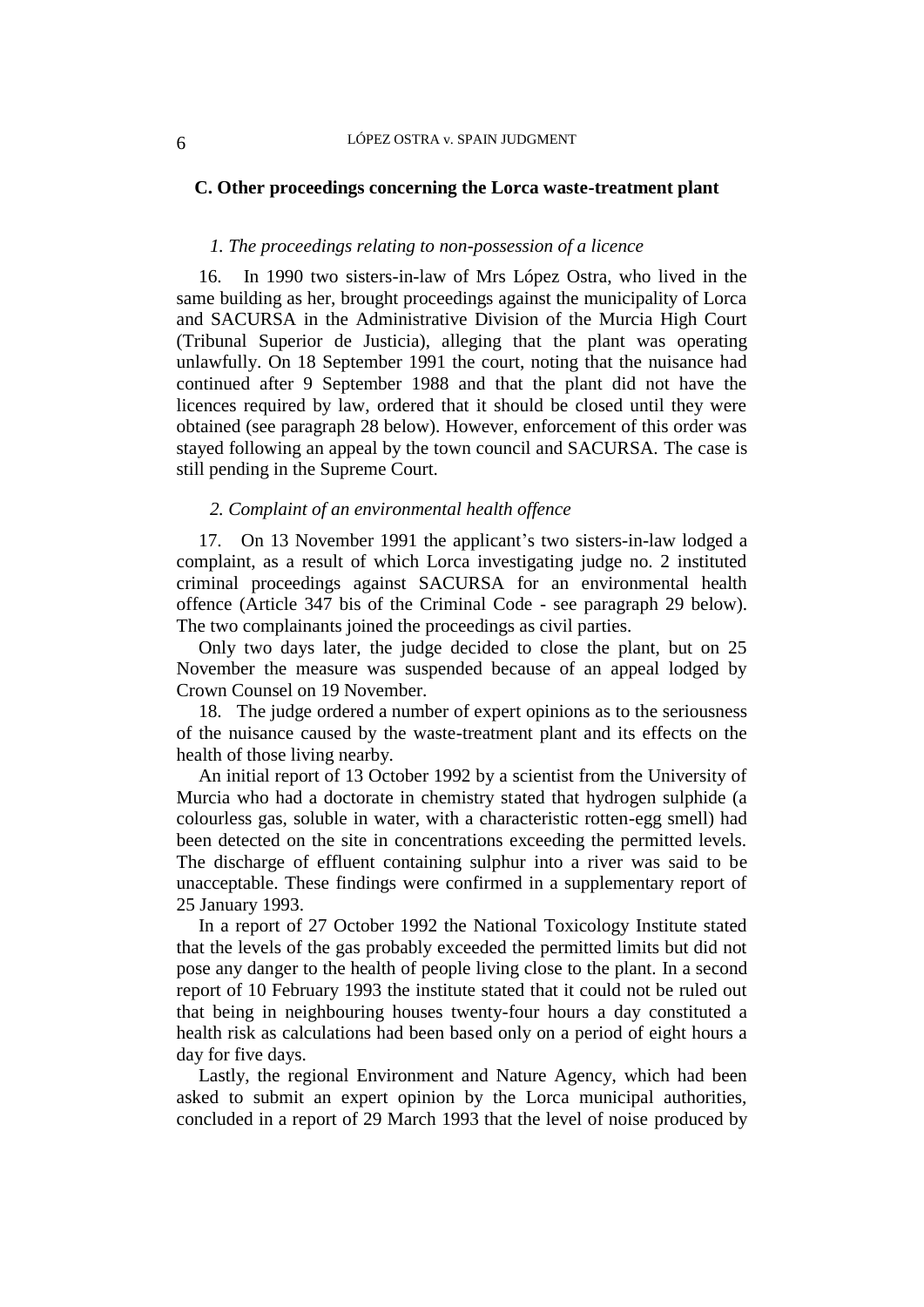### **C. Other proceedings concerning the Lorca waste-treatment plant**

### *1. The proceedings relating to non-possession of a licence*

16. In 1990 two sisters-in-law of Mrs López Ostra, who lived in the same building as her, brought proceedings against the municipality of Lorca and SACURSA in the Administrative Division of the Murcia High Court (Tribunal Superior de Justicia), alleging that the plant was operating unlawfully. On 18 September 1991 the court, noting that the nuisance had continued after 9 September 1988 and that the plant did not have the licences required by law, ordered that it should be closed until they were obtained (see paragraph 28 below). However, enforcement of this order was stayed following an appeal by the town council and SACURSA. The case is still pending in the Supreme Court.

#### *2. Complaint of an environmental health offence*

17. On 13 November 1991 the applicant's two sisters-in-law lodged a complaint, as a result of which Lorca investigating judge no. 2 instituted criminal proceedings against SACURSA for an environmental health offence (Article 347 bis of the Criminal Code - see paragraph 29 below). The two complainants joined the proceedings as civil parties.

Only two days later, the judge decided to close the plant, but on 25 November the measure was suspended because of an appeal lodged by Crown Counsel on 19 November.

18. The judge ordered a number of expert opinions as to the seriousness of the nuisance caused by the waste-treatment plant and its effects on the health of those living nearby.

An initial report of 13 October 1992 by a scientist from the University of Murcia who had a doctorate in chemistry stated that hydrogen sulphide (a colourless gas, soluble in water, with a characteristic rotten-egg smell) had been detected on the site in concentrations exceeding the permitted levels. The discharge of effluent containing sulphur into a river was said to be unacceptable. These findings were confirmed in a supplementary report of 25 January 1993.

In a report of 27 October 1992 the National Toxicology Institute stated that the levels of the gas probably exceeded the permitted limits but did not pose any danger to the health of people living close to the plant. In a second report of 10 February 1993 the institute stated that it could not be ruled out that being in neighbouring houses twenty-four hours a day constituted a health risk as calculations had been based only on a period of eight hours a day for five days.

Lastly, the regional Environment and Nature Agency, which had been asked to submit an expert opinion by the Lorca municipal authorities, concluded in a report of 29 March 1993 that the level of noise produced by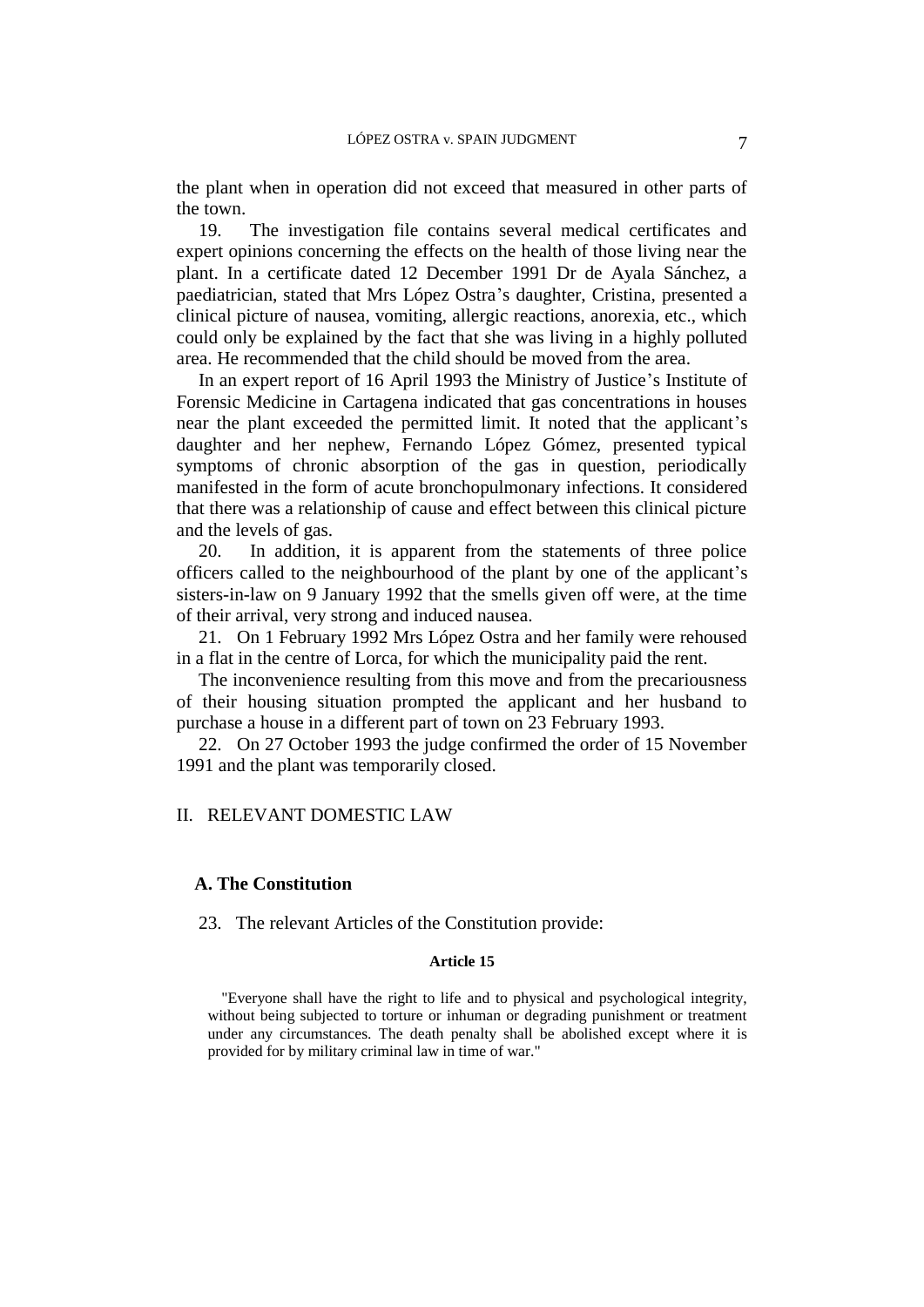the plant when in operation did not exceed that measured in other parts of the town.

19. The investigation file contains several medical certificates and expert opinions concerning the effects on the health of those living near the plant. In a certificate dated 12 December 1991 Dr de Ayala Sánchez, a paediatrician, stated that Mrs López Ostra's daughter, Cristina, presented a clinical picture of nausea, vomiting, allergic reactions, anorexia, etc., which could only be explained by the fact that she was living in a highly polluted area. He recommended that the child should be moved from the area.

In an expert report of 16 April 1993 the Ministry of Justice's Institute of Forensic Medicine in Cartagena indicated that gas concentrations in houses near the plant exceeded the permitted limit. It noted that the applicant's daughter and her nephew, Fernando López Gómez, presented typical symptoms of chronic absorption of the gas in question, periodically manifested in the form of acute bronchopulmonary infections. It considered that there was a relationship of cause and effect between this clinical picture and the levels of gas.

20. In addition, it is apparent from the statements of three police officers called to the neighbourhood of the plant by one of the applicant's sisters-in-law on 9 January 1992 that the smells given off were, at the time of their arrival, very strong and induced nausea.

21. On 1 February 1992 Mrs López Ostra and her family were rehoused in a flat in the centre of Lorca, for which the municipality paid the rent.

The inconvenience resulting from this move and from the precariousness of their housing situation prompted the applicant and her husband to purchase a house in a different part of town on 23 February 1993.

22. On 27 October 1993 the judge confirmed the order of 15 November 1991 and the plant was temporarily closed.

### II. RELEVANT DOMESTIC LAW

#### **A. The Constitution**

23. The relevant Articles of the Constitution provide:

#### **Article 15**

"Everyone shall have the right to life and to physical and psychological integrity, without being subjected to torture or inhuman or degrading punishment or treatment under any circumstances. The death penalty shall be abolished except where it is provided for by military criminal law in time of war."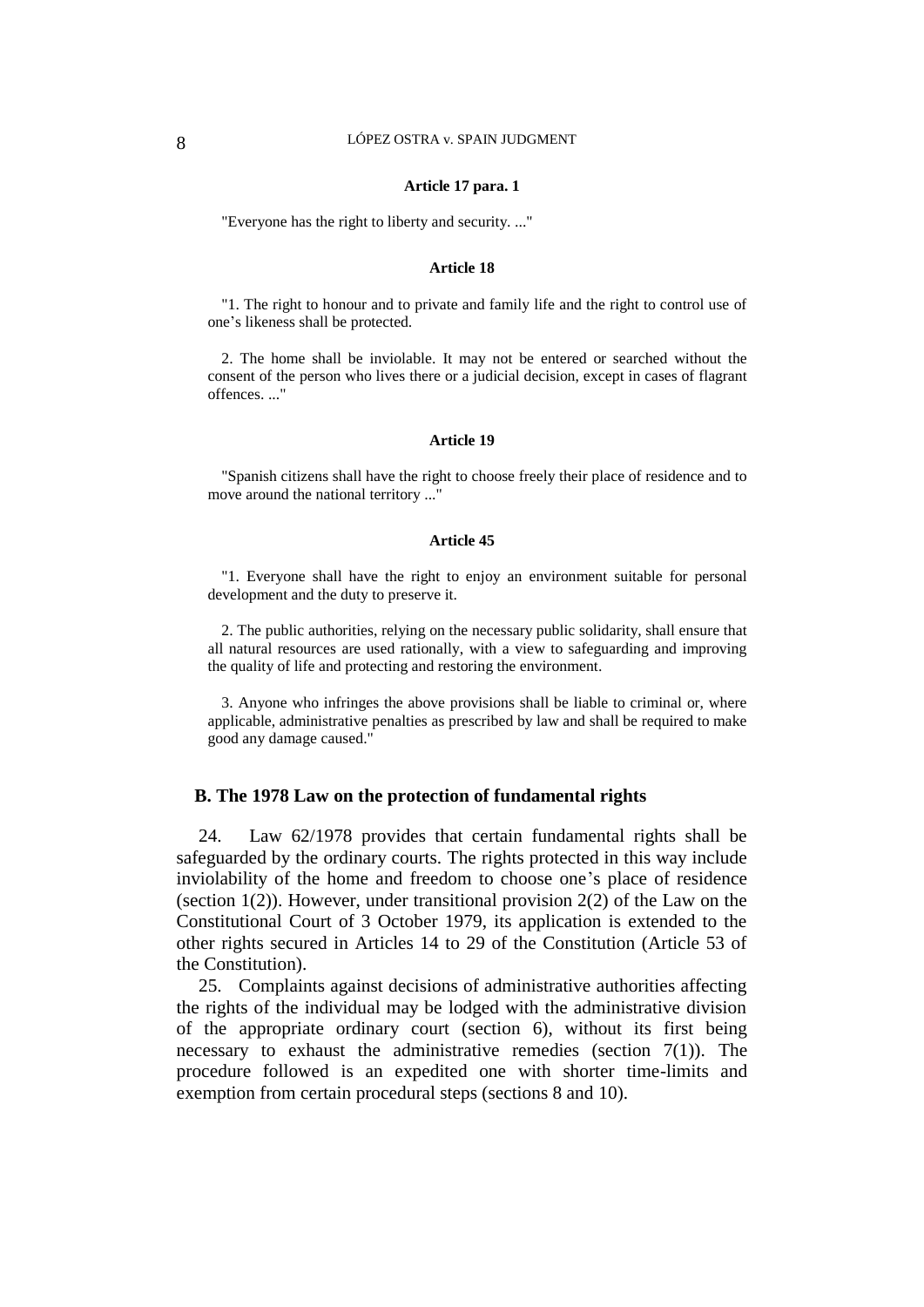#### **Article 17 para. 1**

"Everyone has the right to liberty and security. ..."

#### **Article 18**

"1. The right to honour and to private and family life and the right to control use of one's likeness shall be protected.

2. The home shall be inviolable. It may not be entered or searched without the consent of the person who lives there or a judicial decision, except in cases of flagrant offences. ..."

#### **Article 19**

"Spanish citizens shall have the right to choose freely their place of residence and to move around the national territory ..."

#### **Article 45**

"1. Everyone shall have the right to enjoy an environment suitable for personal development and the duty to preserve it.

2. The public authorities, relying on the necessary public solidarity, shall ensure that all natural resources are used rationally, with a view to safeguarding and improving the quality of life and protecting and restoring the environment.

3. Anyone who infringes the above provisions shall be liable to criminal or, where applicable, administrative penalties as prescribed by law and shall be required to make good any damage caused."

#### **B. The 1978 Law on the protection of fundamental rights**

24. Law 62/1978 provides that certain fundamental rights shall be safeguarded by the ordinary courts. The rights protected in this way include inviolability of the home and freedom to choose one's place of residence (section  $1(2)$ ). However, under transitional provision  $2(2)$  of the Law on the Constitutional Court of 3 October 1979, its application is extended to the other rights secured in Articles 14 to 29 of the Constitution (Article 53 of the Constitution).

25. Complaints against decisions of administrative authorities affecting the rights of the individual may be lodged with the administrative division of the appropriate ordinary court (section 6), without its first being necessary to exhaust the administrative remedies (section  $7(1)$ ). The procedure followed is an expedited one with shorter time-limits and exemption from certain procedural steps (sections 8 and 10).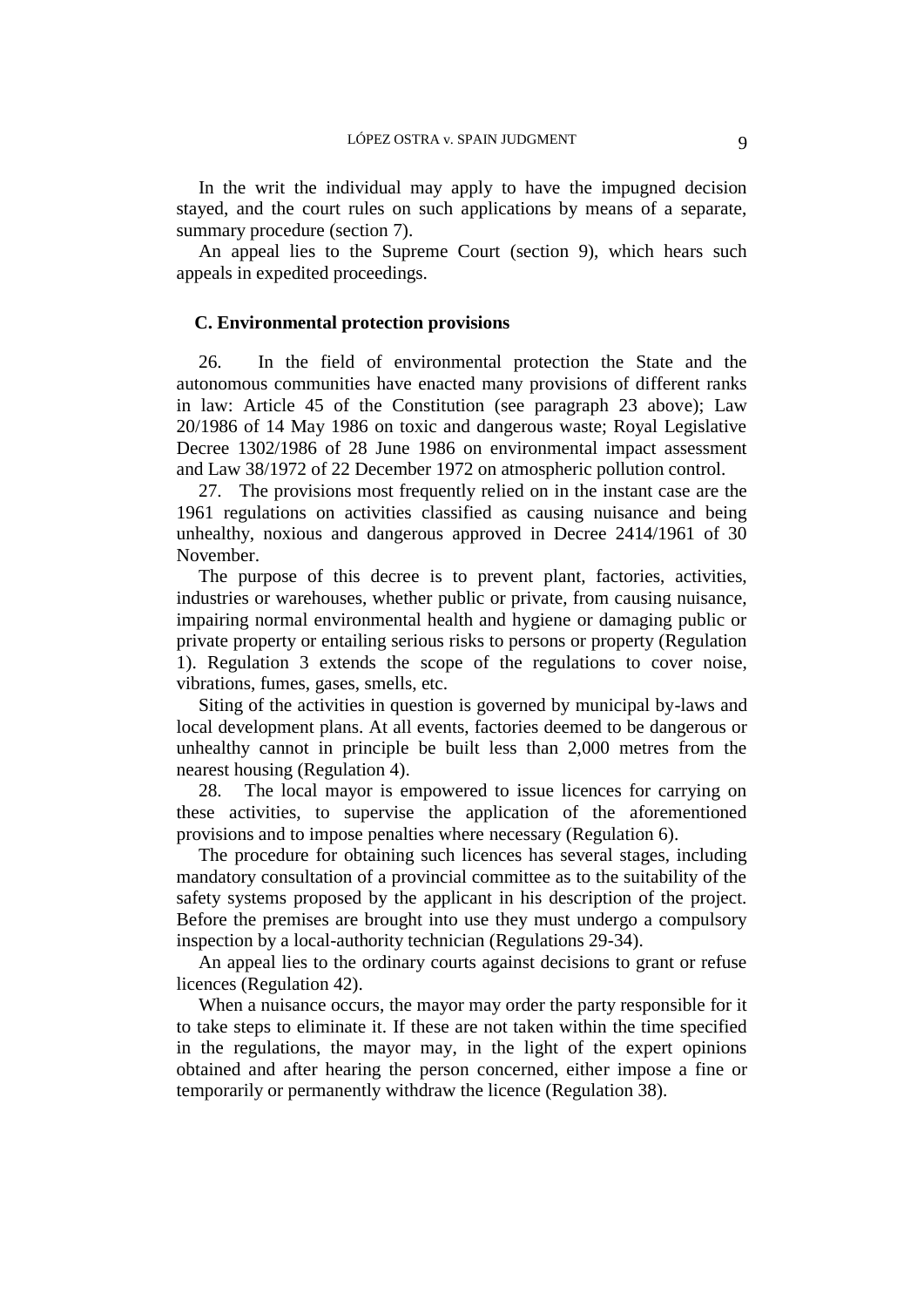In the writ the individual may apply to have the impugned decision stayed, and the court rules on such applications by means of a separate, summary procedure (section 7).

An appeal lies to the Supreme Court (section 9), which hears such appeals in expedited proceedings.

#### **C. Environmental protection provisions**

26. In the field of environmental protection the State and the autonomous communities have enacted many provisions of different ranks in law: Article 45 of the Constitution (see paragraph 23 above); Law 20/1986 of 14 May 1986 on toxic and dangerous waste; Royal Legislative Decree 1302/1986 of 28 June 1986 on environmental impact assessment and Law 38/1972 of 22 December 1972 on atmospheric pollution control.

27. The provisions most frequently relied on in the instant case are the 1961 regulations on activities classified as causing nuisance and being unhealthy, noxious and dangerous approved in Decree 2414/1961 of 30 November.

The purpose of this decree is to prevent plant, factories, activities, industries or warehouses, whether public or private, from causing nuisance, impairing normal environmental health and hygiene or damaging public or private property or entailing serious risks to persons or property (Regulation 1). Regulation 3 extends the scope of the regulations to cover noise, vibrations, fumes, gases, smells, etc.

Siting of the activities in question is governed by municipal by-laws and local development plans. At all events, factories deemed to be dangerous or unhealthy cannot in principle be built less than 2,000 metres from the nearest housing (Regulation 4).

28. The local mayor is empowered to issue licences for carrying on these activities, to supervise the application of the aforementioned provisions and to impose penalties where necessary (Regulation 6).

The procedure for obtaining such licences has several stages, including mandatory consultation of a provincial committee as to the suitability of the safety systems proposed by the applicant in his description of the project. Before the premises are brought into use they must undergo a compulsory inspection by a local-authority technician (Regulations 29-34).

An appeal lies to the ordinary courts against decisions to grant or refuse licences (Regulation 42).

When a nuisance occurs, the mayor may order the party responsible for it to take steps to eliminate it. If these are not taken within the time specified in the regulations, the mayor may, in the light of the expert opinions obtained and after hearing the person concerned, either impose a fine or temporarily or permanently withdraw the licence (Regulation 38).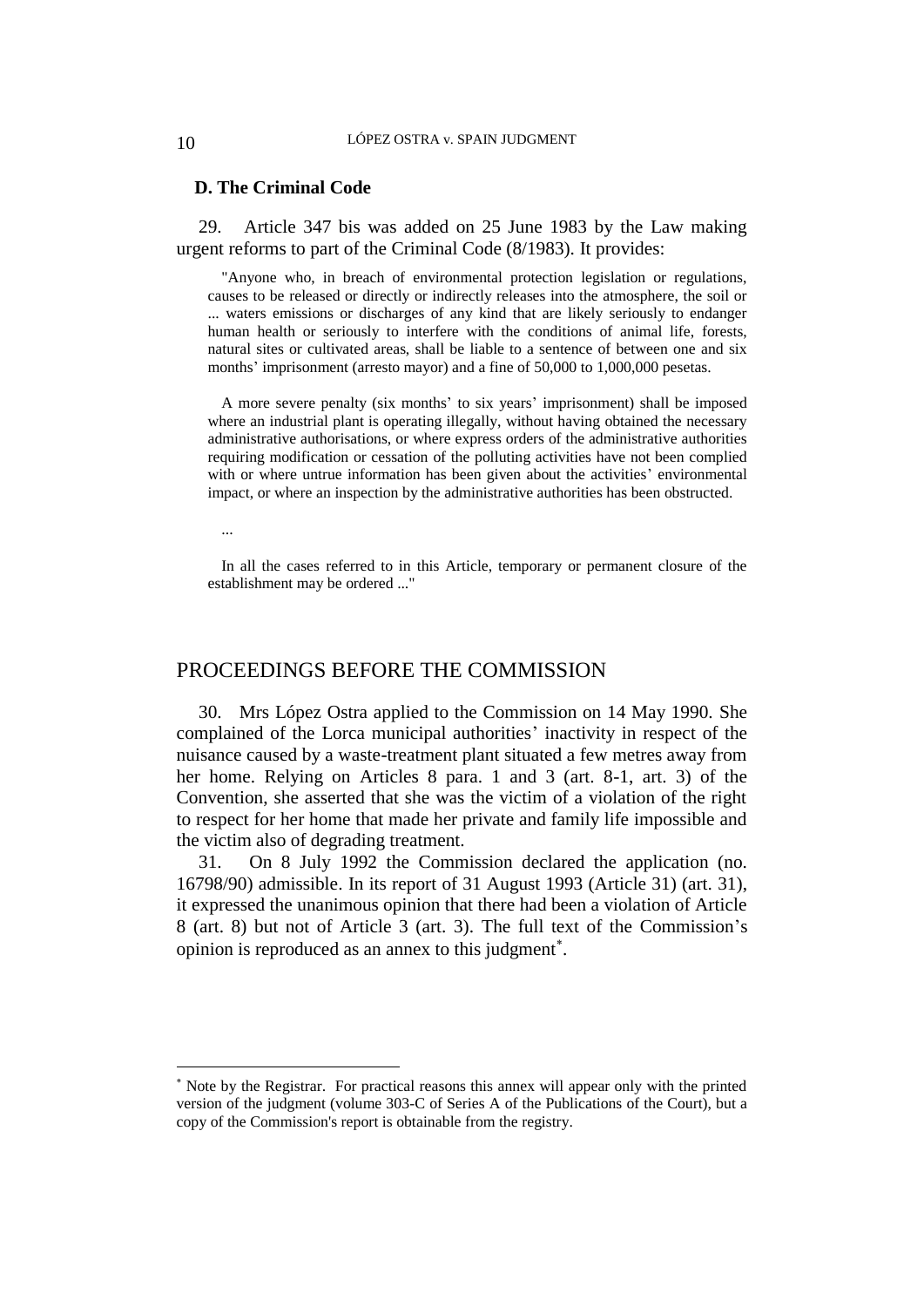### **D. The Criminal Code**

29. Article 347 bis was added on 25 June 1983 by the Law making urgent reforms to part of the Criminal Code (8/1983). It provides:

"Anyone who, in breach of environmental protection legislation or regulations, causes to be released or directly or indirectly releases into the atmosphere, the soil or ... waters emissions or discharges of any kind that are likely seriously to endanger human health or seriously to interfere with the conditions of animal life, forests, natural sites or cultivated areas, shall be liable to a sentence of between one and six months' imprisonment (arresto mayor) and a fine of 50,000 to 1,000,000 pesetas.

A more severe penalty (six months' to six years' imprisonment) shall be imposed where an industrial plant is operating illegally, without having obtained the necessary administrative authorisations, or where express orders of the administrative authorities requiring modification or cessation of the polluting activities have not been complied with or where untrue information has been given about the activities' environmental impact, or where an inspection by the administrative authorities has been obstructed.

...

 $\overline{a}$ 

In all the cases referred to in this Article, temporary or permanent closure of the establishment may be ordered ..."

### PROCEEDINGS BEFORE THE COMMISSION

30. Mrs López Ostra applied to the Commission on 14 May 1990. She complained of the Lorca municipal authorities' inactivity in respect of the nuisance caused by a waste-treatment plant situated a few metres away from her home. Relying on Articles 8 para. 1 and 3 (art. 8-1, art. 3) of the Convention, she asserted that she was the victim of a violation of the right to respect for her home that made her private and family life impossible and the victim also of degrading treatment.

31. On 8 July 1992 the Commission declared the application (no. 16798/90) admissible. In its report of 31 August 1993 (Article 31) (art. 31), it expressed the unanimous opinion that there had been a violation of Article 8 (art. 8) but not of Article 3 (art. 3). The full text of the Commission's opinion is reproduced as an annex to this judgment .

Note by the Registrar. For practical reasons this annex will appear only with the printed version of the judgment (volume 303-C of Series A of the Publications of the Court), but a copy of the Commission's report is obtainable from the registry.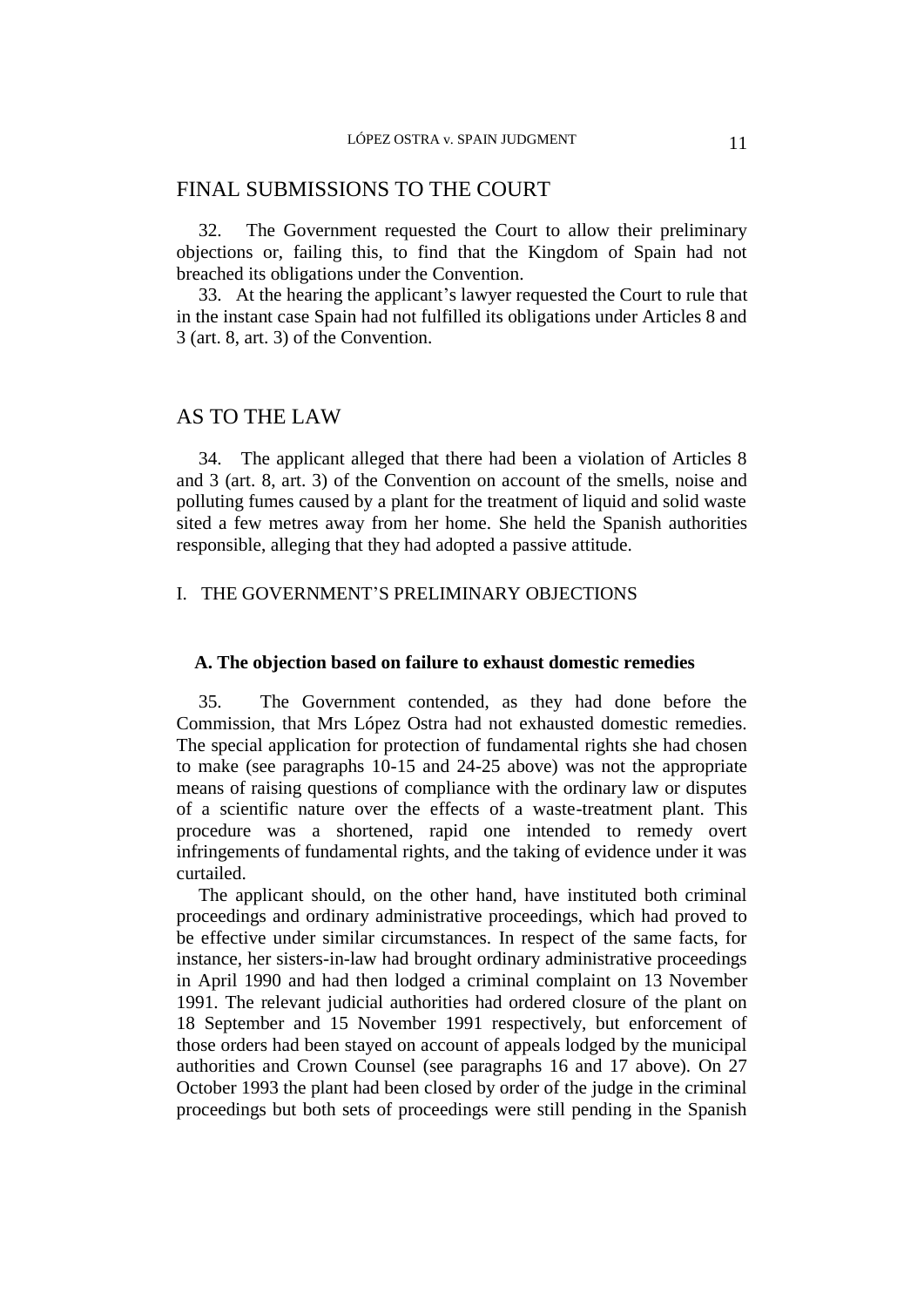### FINAL SUBMISSIONS TO THE COURT

32. The Government requested the Court to allow their preliminary objections or, failing this, to find that the Kingdom of Spain had not breached its obligations under the Convention.

33. At the hearing the applicant's lawyer requested the Court to rule that in the instant case Spain had not fulfilled its obligations under Articles 8 and 3 (art. 8, art. 3) of the Convention.

### AS TO THE LAW

34. The applicant alleged that there had been a violation of Articles 8 and 3 (art. 8, art. 3) of the Convention on account of the smells, noise and polluting fumes caused by a plant for the treatment of liquid and solid waste sited a few metres away from her home. She held the Spanish authorities responsible, alleging that they had adopted a passive attitude.

### I. THE GOVERNMENT'S PRELIMINARY OBJECTIONS

#### **A. The objection based on failure to exhaust domestic remedies**

35. The Government contended, as they had done before the Commission, that Mrs López Ostra had not exhausted domestic remedies. The special application for protection of fundamental rights she had chosen to make (see paragraphs 10-15 and 24-25 above) was not the appropriate means of raising questions of compliance with the ordinary law or disputes of a scientific nature over the effects of a waste-treatment plant. This procedure was a shortened, rapid one intended to remedy overt infringements of fundamental rights, and the taking of evidence under it was curtailed.

The applicant should, on the other hand, have instituted both criminal proceedings and ordinary administrative proceedings, which had proved to be effective under similar circumstances. In respect of the same facts, for instance, her sisters-in-law had brought ordinary administrative proceedings in April 1990 and had then lodged a criminal complaint on 13 November 1991. The relevant judicial authorities had ordered closure of the plant on 18 September and 15 November 1991 respectively, but enforcement of those orders had been stayed on account of appeals lodged by the municipal authorities and Crown Counsel (see paragraphs 16 and 17 above). On 27 October 1993 the plant had been closed by order of the judge in the criminal proceedings but both sets of proceedings were still pending in the Spanish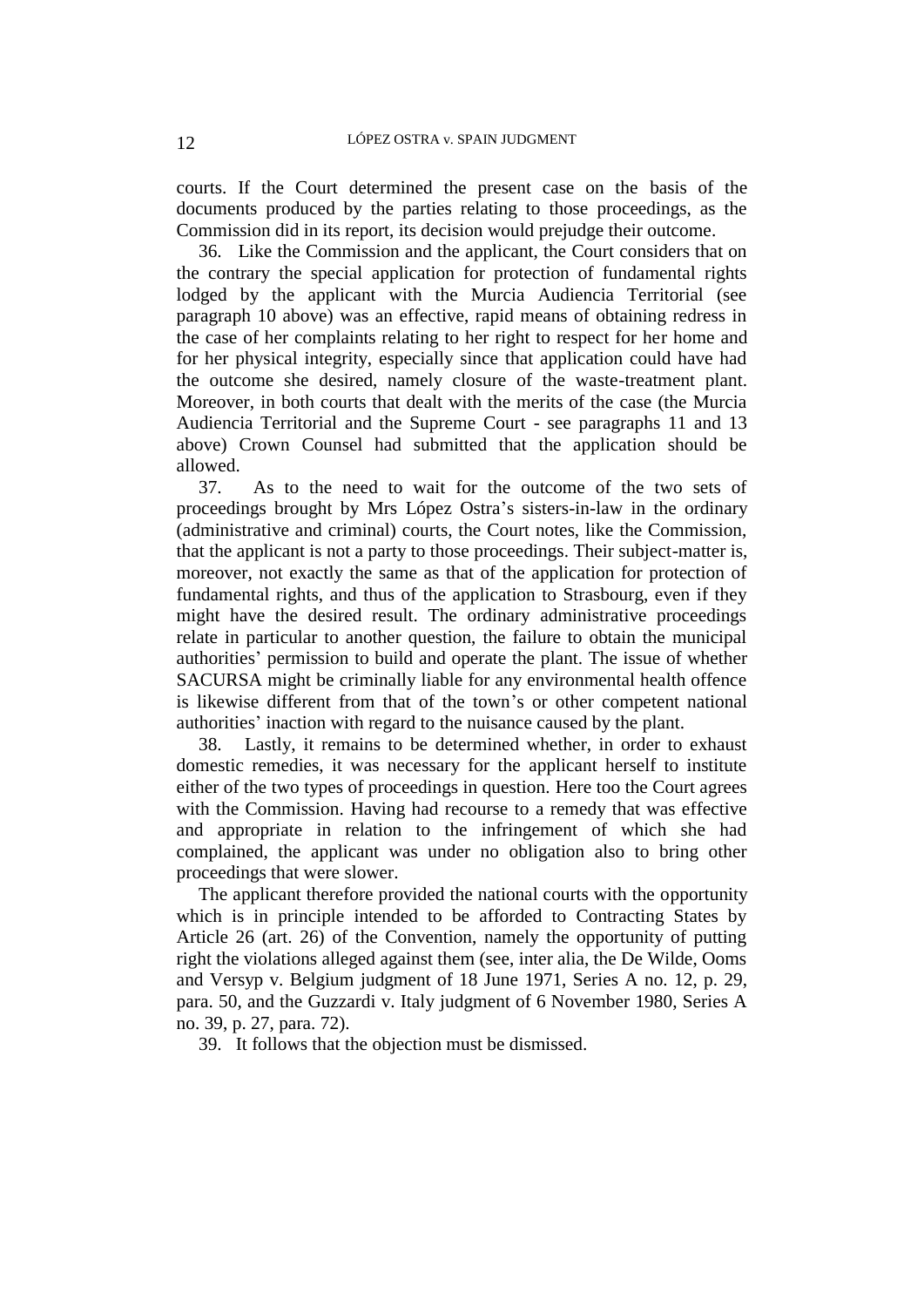courts. If the Court determined the present case on the basis of the documents produced by the parties relating to those proceedings, as the Commission did in its report, its decision would prejudge their outcome.

36. Like the Commission and the applicant, the Court considers that on the contrary the special application for protection of fundamental rights lodged by the applicant with the Murcia Audiencia Territorial (see paragraph 10 above) was an effective, rapid means of obtaining redress in the case of her complaints relating to her right to respect for her home and for her physical integrity, especially since that application could have had the outcome she desired, namely closure of the waste-treatment plant. Moreover, in both courts that dealt with the merits of the case (the Murcia Audiencia Territorial and the Supreme Court - see paragraphs 11 and 13 above) Crown Counsel had submitted that the application should be allowed.

37. As to the need to wait for the outcome of the two sets of proceedings brought by Mrs López Ostra's sisters-in-law in the ordinary (administrative and criminal) courts, the Court notes, like the Commission, that the applicant is not a party to those proceedings. Their subject-matter is, moreover, not exactly the same as that of the application for protection of fundamental rights, and thus of the application to Strasbourg, even if they might have the desired result. The ordinary administrative proceedings relate in particular to another question, the failure to obtain the municipal authorities' permission to build and operate the plant. The issue of whether SACURSA might be criminally liable for any environmental health offence is likewise different from that of the town's or other competent national authorities' inaction with regard to the nuisance caused by the plant.

38. Lastly, it remains to be determined whether, in order to exhaust domestic remedies, it was necessary for the applicant herself to institute either of the two types of proceedings in question. Here too the Court agrees with the Commission. Having had recourse to a remedy that was effective and appropriate in relation to the infringement of which she had complained, the applicant was under no obligation also to bring other proceedings that were slower.

The applicant therefore provided the national courts with the opportunity which is in principle intended to be afforded to Contracting States by Article 26 (art. 26) of the Convention, namely the opportunity of putting right the violations alleged against them (see, inter alia, the De Wilde, Ooms and Versyp v. Belgium judgment of 18 June 1971, Series A no. 12, p. 29, para. 50, and the Guzzardi v. Italy judgment of 6 November 1980, Series A no. 39, p. 27, para. 72).

39. It follows that the objection must be dismissed.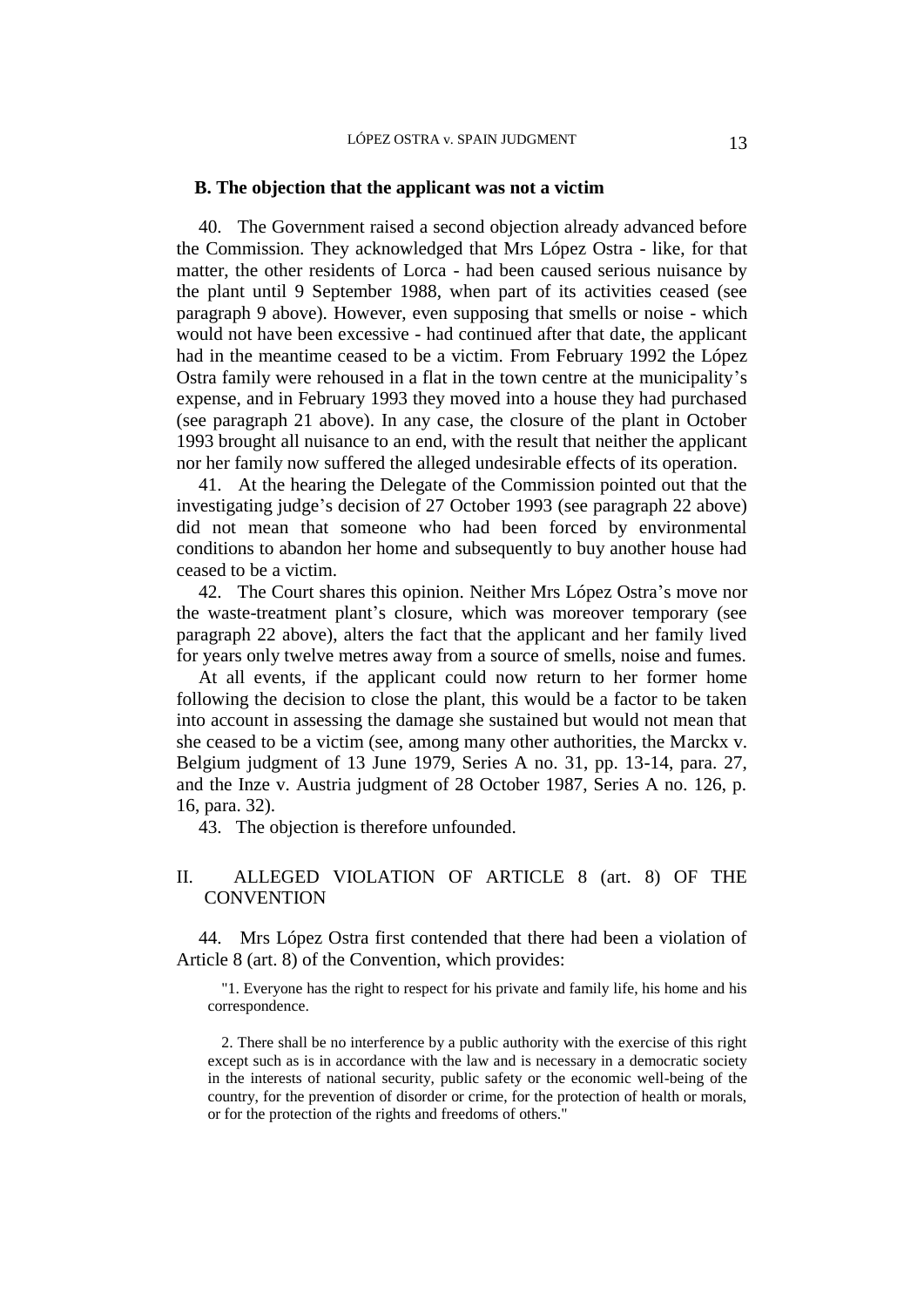#### **B. The objection that the applicant was not a victim**

40. The Government raised a second objection already advanced before the Commission. They acknowledged that Mrs López Ostra - like, for that matter, the other residents of Lorca - had been caused serious nuisance by the plant until 9 September 1988, when part of its activities ceased (see paragraph 9 above). However, even supposing that smells or noise - which would not have been excessive - had continued after that date, the applicant had in the meantime ceased to be a victim. From February 1992 the López Ostra family were rehoused in a flat in the town centre at the municipality's expense, and in February 1993 they moved into a house they had purchased (see paragraph 21 above). In any case, the closure of the plant in October 1993 brought all nuisance to an end, with the result that neither the applicant nor her family now suffered the alleged undesirable effects of its operation.

41. At the hearing the Delegate of the Commission pointed out that the investigating judge's decision of 27 October 1993 (see paragraph 22 above) did not mean that someone who had been forced by environmental conditions to abandon her home and subsequently to buy another house had ceased to be a victim.

42. The Court shares this opinion. Neither Mrs López Ostra's move nor the waste-treatment plant's closure, which was moreover temporary (see paragraph 22 above), alters the fact that the applicant and her family lived for years only twelve metres away from a source of smells, noise and fumes.

At all events, if the applicant could now return to her former home following the decision to close the plant, this would be a factor to be taken into account in assessing the damage she sustained but would not mean that she ceased to be a victim (see, among many other authorities, the Marckx v. Belgium judgment of 13 June 1979, Series A no. 31, pp. 13-14, para. 27, and the Inze v. Austria judgment of 28 October 1987, Series A no. 126, p. 16, para. 32).

43. The objection is therefore unfounded.

### II. ALLEGED VIOLATION OF ARTICLE 8 (art. 8) OF THE **CONVENTION**

44. Mrs López Ostra first contended that there had been a violation of Article 8 (art. 8) of the Convention, which provides:

"1. Everyone has the right to respect for his private and family life, his home and his correspondence.

2. There shall be no interference by a public authority with the exercise of this right except such as is in accordance with the law and is necessary in a democratic society in the interests of national security, public safety or the economic well-being of the country, for the prevention of disorder or crime, for the protection of health or morals, or for the protection of the rights and freedoms of others."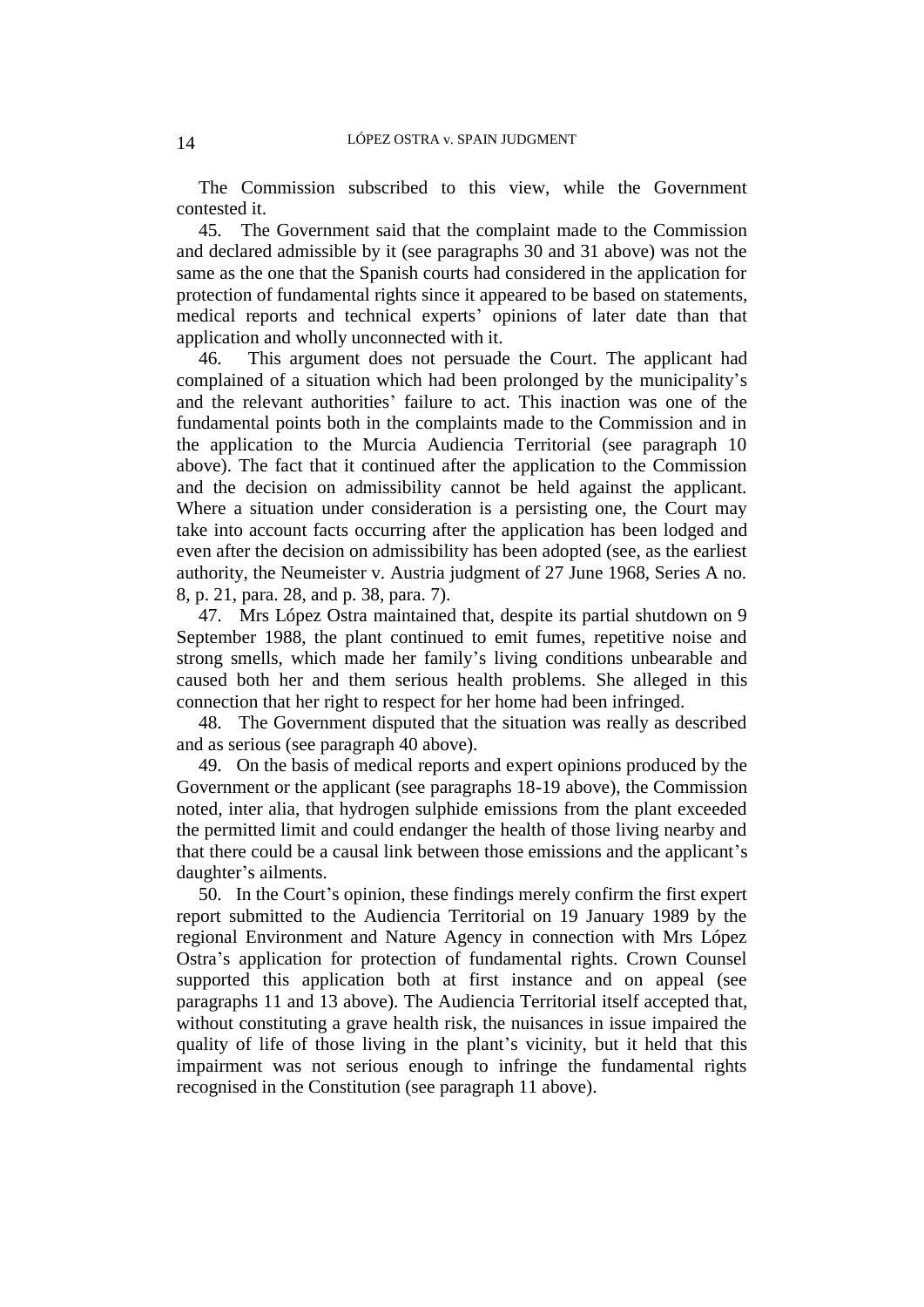The Commission subscribed to this view, while the Government contested it.

45. The Government said that the complaint made to the Commission and declared admissible by it (see paragraphs 30 and 31 above) was not the same as the one that the Spanish courts had considered in the application for protection of fundamental rights since it appeared to be based on statements, medical reports and technical experts' opinions of later date than that application and wholly unconnected with it.

46. This argument does not persuade the Court. The applicant had complained of a situation which had been prolonged by the municipality's and the relevant authorities' failure to act. This inaction was one of the fundamental points both in the complaints made to the Commission and in the application to the Murcia Audiencia Territorial (see paragraph 10 above). The fact that it continued after the application to the Commission and the decision on admissibility cannot be held against the applicant. Where a situation under consideration is a persisting one, the Court may take into account facts occurring after the application has been lodged and even after the decision on admissibility has been adopted (see, as the earliest authority, the Neumeister v. Austria judgment of 27 June 1968, Series A no. 8, p. 21, para. 28, and p. 38, para. 7).

47. Mrs López Ostra maintained that, despite its partial shutdown on 9 September 1988, the plant continued to emit fumes, repetitive noise and strong smells, which made her family's living conditions unbearable and caused both her and them serious health problems. She alleged in this connection that her right to respect for her home had been infringed.

48. The Government disputed that the situation was really as described and as serious (see paragraph 40 above).

49. On the basis of medical reports and expert opinions produced by the Government or the applicant (see paragraphs 18-19 above), the Commission noted, inter alia, that hydrogen sulphide emissions from the plant exceeded the permitted limit and could endanger the health of those living nearby and that there could be a causal link between those emissions and the applicant's daughter's ailments.

50. In the Court's opinion, these findings merely confirm the first expert report submitted to the Audiencia Territorial on 19 January 1989 by the regional Environment and Nature Agency in connection with Mrs López Ostra's application for protection of fundamental rights. Crown Counsel supported this application both at first instance and on appeal (see paragraphs 11 and 13 above). The Audiencia Territorial itself accepted that, without constituting a grave health risk, the nuisances in issue impaired the quality of life of those living in the plant's vicinity, but it held that this impairment was not serious enough to infringe the fundamental rights recognised in the Constitution (see paragraph 11 above).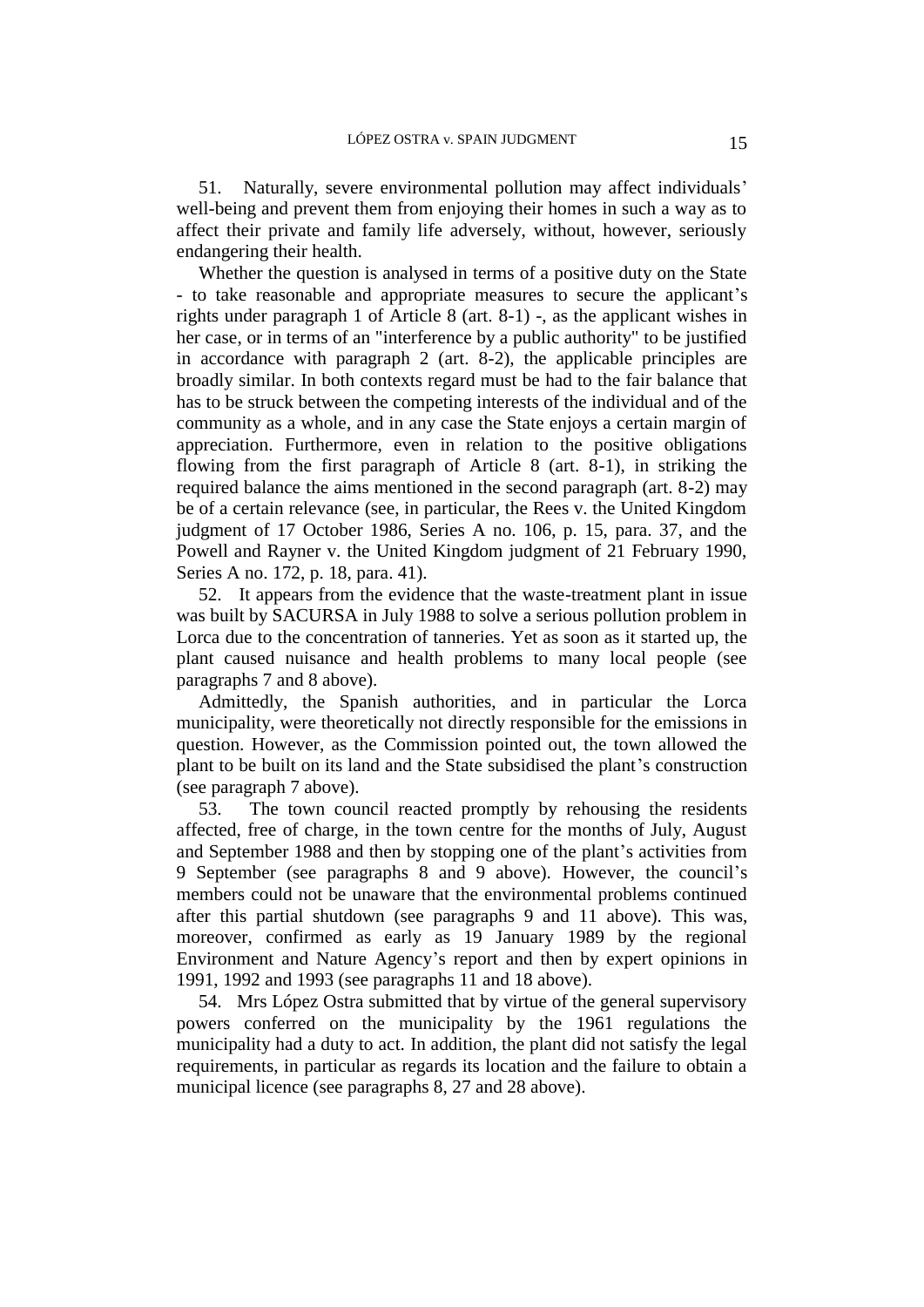51. Naturally, severe environmental pollution may affect individuals' well-being and prevent them from enjoying their homes in such a way as to affect their private and family life adversely, without, however, seriously endangering their health.

Whether the question is analysed in terms of a positive duty on the State - to take reasonable and appropriate measures to secure the applicant's rights under paragraph 1 of Article 8 (art. 8-1) -, as the applicant wishes in her case, or in terms of an "interference by a public authority" to be justified in accordance with paragraph 2 (art. 8-2), the applicable principles are broadly similar. In both contexts regard must be had to the fair balance that has to be struck between the competing interests of the individual and of the community as a whole, and in any case the State enjoys a certain margin of appreciation. Furthermore, even in relation to the positive obligations flowing from the first paragraph of Article 8 (art. 8-1), in striking the required balance the aims mentioned in the second paragraph (art. 8-2) may be of a certain relevance (see, in particular, the Rees v. the United Kingdom judgment of 17 October 1986, Series A no. 106, p. 15, para. 37, and the Powell and Rayner v. the United Kingdom judgment of 21 February 1990, Series A no. 172, p. 18, para. 41).

52. It appears from the evidence that the waste-treatment plant in issue was built by SACURSA in July 1988 to solve a serious pollution problem in Lorca due to the concentration of tanneries. Yet as soon as it started up, the plant caused nuisance and health problems to many local people (see paragraphs 7 and 8 above).

Admittedly, the Spanish authorities, and in particular the Lorca municipality, were theoretically not directly responsible for the emissions in question. However, as the Commission pointed out, the town allowed the plant to be built on its land and the State subsidised the plant's construction (see paragraph 7 above).

53. The town council reacted promptly by rehousing the residents affected, free of charge, in the town centre for the months of July, August and September 1988 and then by stopping one of the plant's activities from 9 September (see paragraphs 8 and 9 above). However, the council's members could not be unaware that the environmental problems continued after this partial shutdown (see paragraphs 9 and 11 above). This was, moreover, confirmed as early as 19 January 1989 by the regional Environment and Nature Agency's report and then by expert opinions in 1991, 1992 and 1993 (see paragraphs 11 and 18 above).

54. Mrs López Ostra submitted that by virtue of the general supervisory powers conferred on the municipality by the 1961 regulations the municipality had a duty to act. In addition, the plant did not satisfy the legal requirements, in particular as regards its location and the failure to obtain a municipal licence (see paragraphs 8, 27 and 28 above).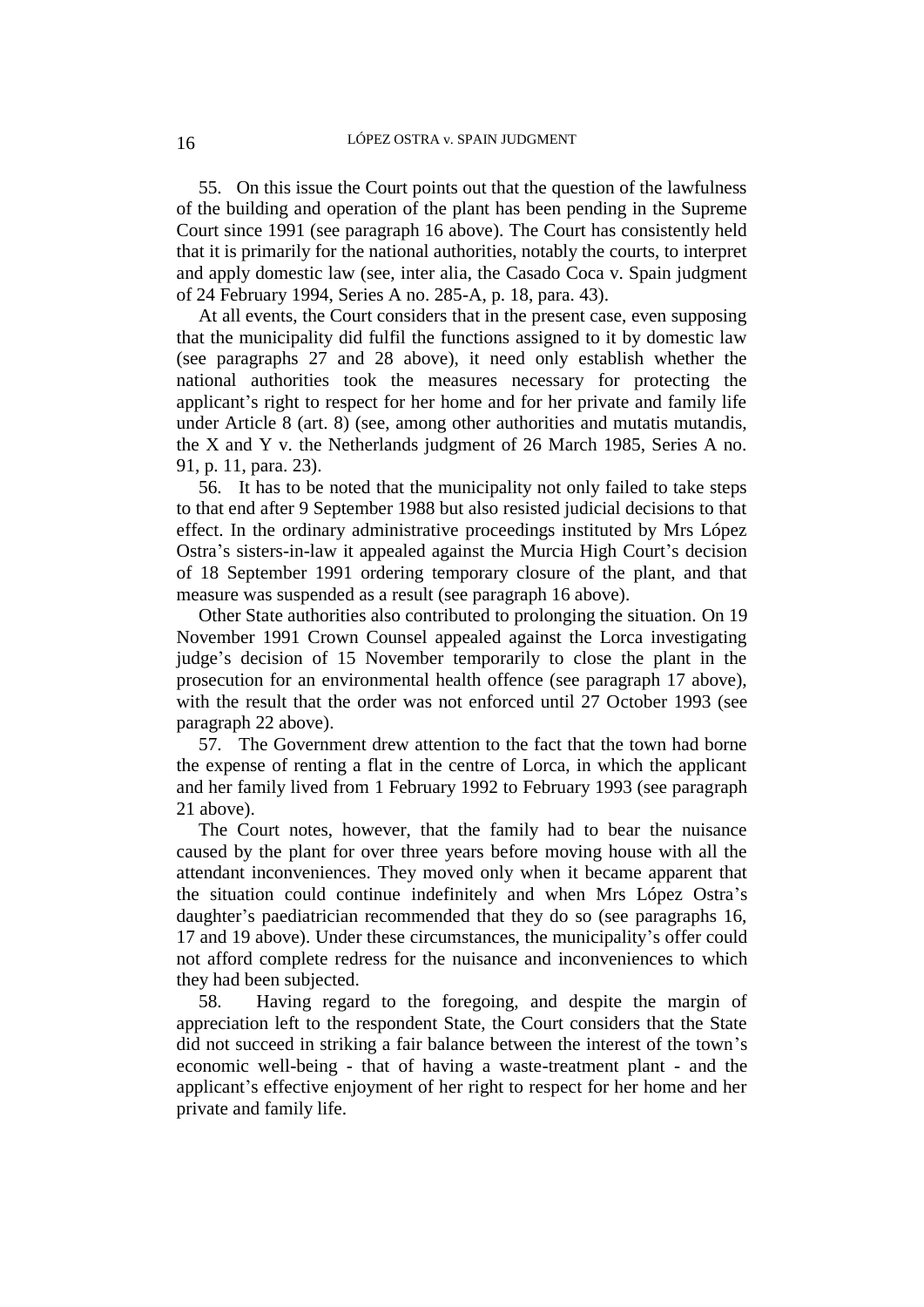55. On this issue the Court points out that the question of the lawfulness of the building and operation of the plant has been pending in the Supreme Court since 1991 (see paragraph 16 above). The Court has consistently held that it is primarily for the national authorities, notably the courts, to interpret and apply domestic law (see, inter alia, the Casado Coca v. Spain judgment of 24 February 1994, Series A no. 285-A, p. 18, para. 43).

At all events, the Court considers that in the present case, even supposing that the municipality did fulfil the functions assigned to it by domestic law (see paragraphs 27 and 28 above), it need only establish whether the national authorities took the measures necessary for protecting the applicant's right to respect for her home and for her private and family life under Article 8 (art. 8) (see, among other authorities and mutatis mutandis, the X and Y v. the Netherlands judgment of 26 March 1985, Series A no. 91, p. 11, para. 23).

56. It has to be noted that the municipality not only failed to take steps to that end after 9 September 1988 but also resisted judicial decisions to that effect. In the ordinary administrative proceedings instituted by Mrs López Ostra's sisters-in-law it appealed against the Murcia High Court's decision of 18 September 1991 ordering temporary closure of the plant, and that measure was suspended as a result (see paragraph 16 above).

Other State authorities also contributed to prolonging the situation. On 19 November 1991 Crown Counsel appealed against the Lorca investigating judge's decision of 15 November temporarily to close the plant in the prosecution for an environmental health offence (see paragraph 17 above), with the result that the order was not enforced until 27 October 1993 (see paragraph 22 above).

57. The Government drew attention to the fact that the town had borne the expense of renting a flat in the centre of Lorca, in which the applicant and her family lived from 1 February 1992 to February 1993 (see paragraph 21 above).

The Court notes, however, that the family had to bear the nuisance caused by the plant for over three years before moving house with all the attendant inconveniences. They moved only when it became apparent that the situation could continue indefinitely and when Mrs López Ostra's daughter's paediatrician recommended that they do so (see paragraphs 16, 17 and 19 above). Under these circumstances, the municipality's offer could not afford complete redress for the nuisance and inconveniences to which they had been subjected.

58. Having regard to the foregoing, and despite the margin of appreciation left to the respondent State, the Court considers that the State did not succeed in striking a fair balance between the interest of the town's economic well-being - that of having a waste-treatment plant - and the applicant's effective enjoyment of her right to respect for her home and her private and family life.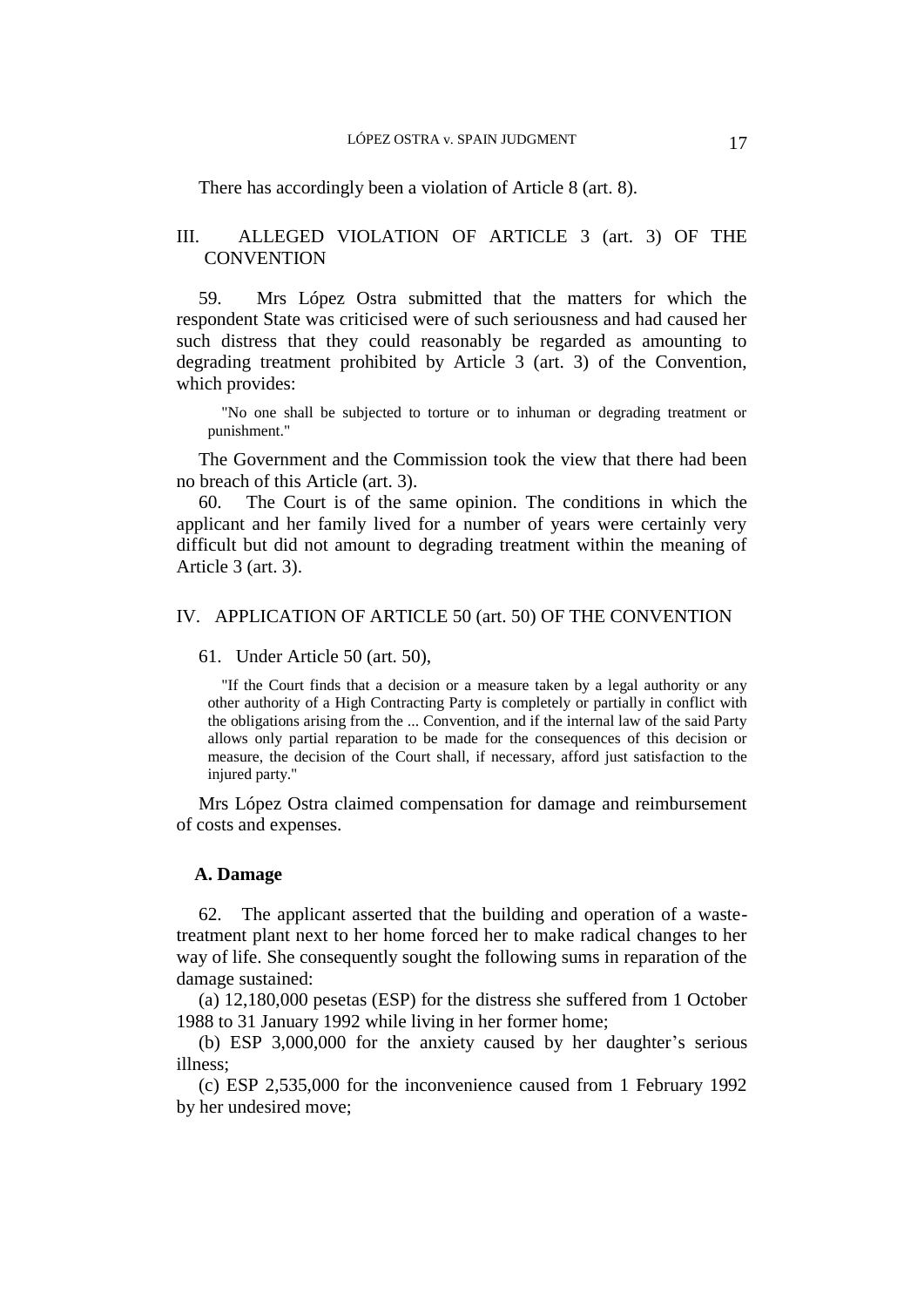There has accordingly been a violation of Article 8 (art. 8).

### III. ALLEGED VIOLATION OF ARTICLE 3 (art. 3) OF THE **CONVENTION**

59. Mrs López Ostra submitted that the matters for which the respondent State was criticised were of such seriousness and had caused her such distress that they could reasonably be regarded as amounting to degrading treatment prohibited by Article 3 (art. 3) of the Convention, which provides:

"No one shall be subjected to torture or to inhuman or degrading treatment or punishment."

The Government and the Commission took the view that there had been no breach of this Article (art. 3).

60. The Court is of the same opinion. The conditions in which the applicant and her family lived for a number of years were certainly very difficult but did not amount to degrading treatment within the meaning of Article 3 (art. 3).

#### IV. APPLICATION OF ARTICLE 50 (art. 50) OF THE CONVENTION

61. Under Article 50 (art. 50),

"If the Court finds that a decision or a measure taken by a legal authority or any other authority of a High Contracting Party is completely or partially in conflict with the obligations arising from the ... Convention, and if the internal law of the said Party allows only partial reparation to be made for the consequences of this decision or measure, the decision of the Court shall, if necessary, afford just satisfaction to the injured party."

Mrs López Ostra claimed compensation for damage and reimbursement of costs and expenses.

#### **A. Damage**

62. The applicant asserted that the building and operation of a wastetreatment plant next to her home forced her to make radical changes to her way of life. She consequently sought the following sums in reparation of the damage sustained:

(a) 12,180,000 pesetas (ESP) for the distress she suffered from 1 October 1988 to 31 January 1992 while living in her former home;

(b) ESP 3,000,000 for the anxiety caused by her daughter's serious illness;

(c) ESP 2,535,000 for the inconvenience caused from 1 February 1992 by her undesired move;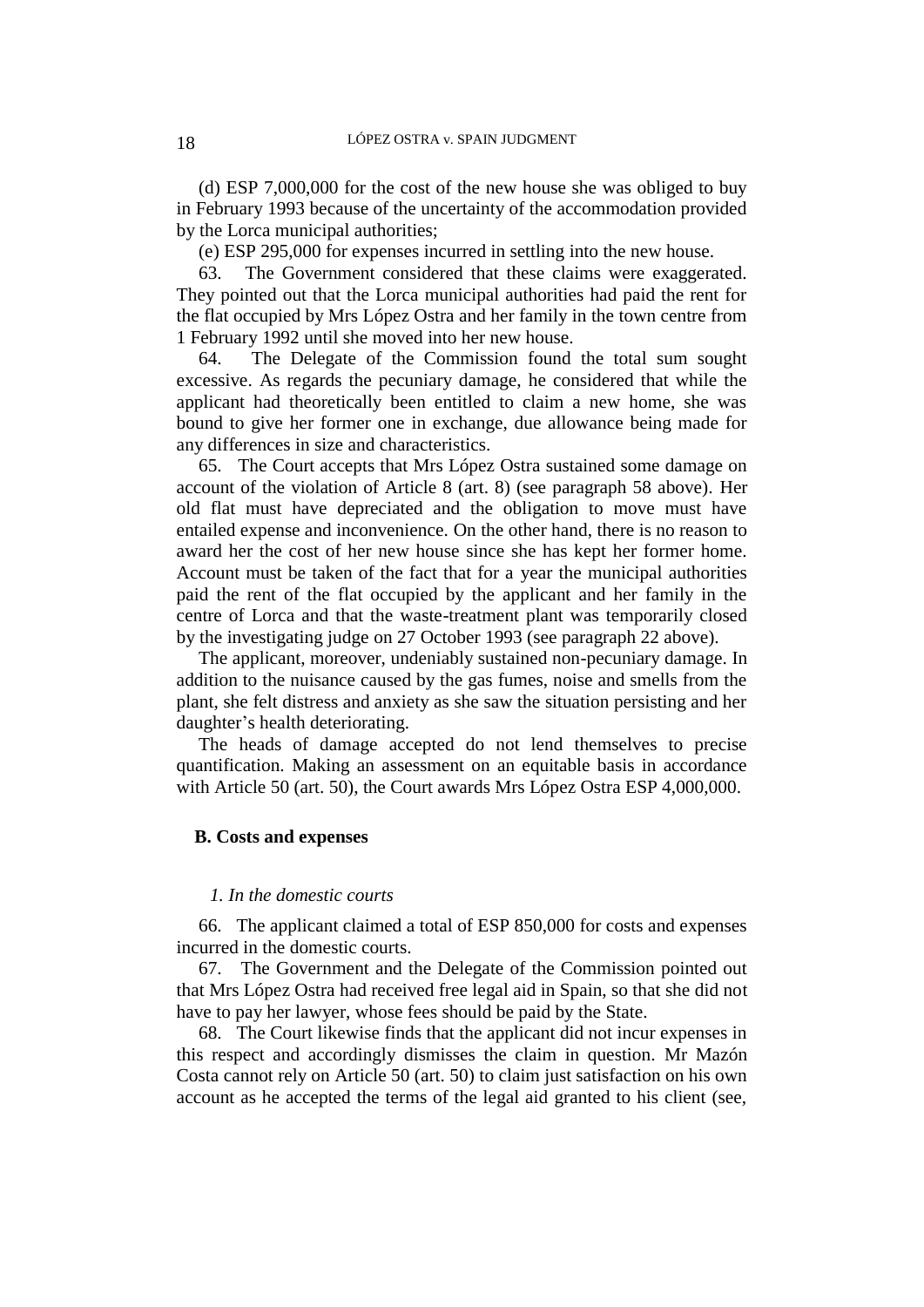(d) ESP 7,000,000 for the cost of the new house she was obliged to buy in February 1993 because of the uncertainty of the accommodation provided by the Lorca municipal authorities;

(e) ESP 295,000 for expenses incurred in settling into the new house.

63. The Government considered that these claims were exaggerated. They pointed out that the Lorca municipal authorities had paid the rent for the flat occupied by Mrs López Ostra and her family in the town centre from 1 February 1992 until she moved into her new house.

64. The Delegate of the Commission found the total sum sought excessive. As regards the pecuniary damage, he considered that while the applicant had theoretically been entitled to claim a new home, she was bound to give her former one in exchange, due allowance being made for any differences in size and characteristics.

65. The Court accepts that Mrs López Ostra sustained some damage on account of the violation of Article 8 (art. 8) (see paragraph 58 above). Her old flat must have depreciated and the obligation to move must have entailed expense and inconvenience. On the other hand, there is no reason to award her the cost of her new house since she has kept her former home. Account must be taken of the fact that for a year the municipal authorities paid the rent of the flat occupied by the applicant and her family in the centre of Lorca and that the waste-treatment plant was temporarily closed by the investigating judge on 27 October 1993 (see paragraph 22 above).

The applicant, moreover, undeniably sustained non-pecuniary damage. In addition to the nuisance caused by the gas fumes, noise and smells from the plant, she felt distress and anxiety as she saw the situation persisting and her daughter's health deteriorating.

The heads of damage accepted do not lend themselves to precise quantification. Making an assessment on an equitable basis in accordance with Article 50 (art. 50), the Court awards Mrs López Ostra ESP 4,000,000.

#### **B. Costs and expenses**

### *1. In the domestic courts*

66. The applicant claimed a total of ESP 850,000 for costs and expenses incurred in the domestic courts.

67. The Government and the Delegate of the Commission pointed out that Mrs López Ostra had received free legal aid in Spain, so that she did not have to pay her lawyer, whose fees should be paid by the State.

68. The Court likewise finds that the applicant did not incur expenses in this respect and accordingly dismisses the claim in question. Mr Mazón Costa cannot rely on Article 50 (art. 50) to claim just satisfaction on his own account as he accepted the terms of the legal aid granted to his client (see,